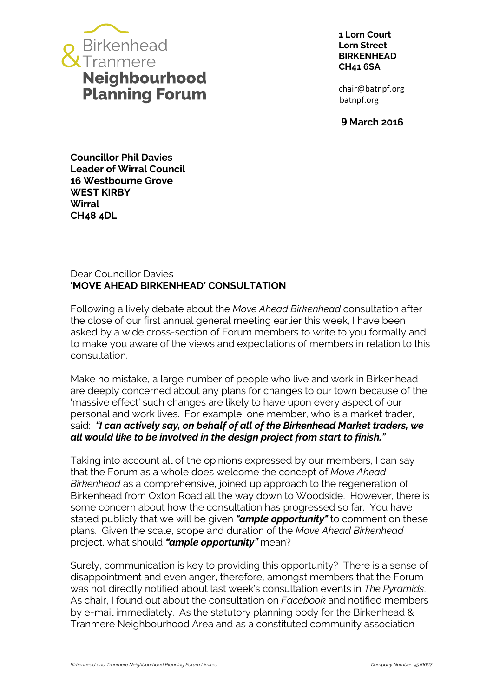

**1 Lorn Court Lorn Street BIRKENHEAD CH41 6SA**

chair@batnpf.org batnpf.org

**9 March 2016**

**Councillor Phil Davies Leader of Wirral Council 16 Westbourne Grove WEST KIRBY Wirral CH48 4DL**

## Dear Councillor Davies **'MOVE AHEAD BIRKENHEAD' CONSULTATION**

Following a lively debate about the *Move Ahead Birkenhead* consultation after the close of our first annual general meeting earlier this week, I have been asked by a wide cross-section of Forum members to write to you formally and to make you aware of the views and expectations of members in relation to this consultation.

Make no mistake, a large number of people who live and work in Birkenhead are deeply concerned about any plans for changes to our town because of the 'massive effect' such changes are likely to have upon every aspect of our personal and work lives. For example, one member, who is a market trader, said: *"I can actively say, on behalf of all of the Birkenhead Market traders, we all would like to be involved in the design project from start to finish."*

Taking into account all of the opinions expressed by our members, I can say that the Forum as a whole does welcome the concept of *Move Ahead Birkenhead* as a comprehensive, joined up approach to the regeneration of Birkenhead from Oxton Road all the way down to Woodside. However, there is some concern about how the consultation has progressed so far. You have stated publicly that we will be given *"ample opportunity"* to comment on these plans. Given the scale, scope and duration of the *Move Ahead Birkenhead* project, what should *"ample opportunity"* mean?

Surely, communication is key to providing this opportunity? There is a sense of disappointment and even anger, therefore, amongst members that the Forum was not directly notified about last week's consultation events in *The Pyramids*. As chair, I found out about the consultation on *Facebook* and notified members by e-mail immediately. As the statutory planning body for the Birkenhead & Tranmere Neighbourhood Area and as a constituted community association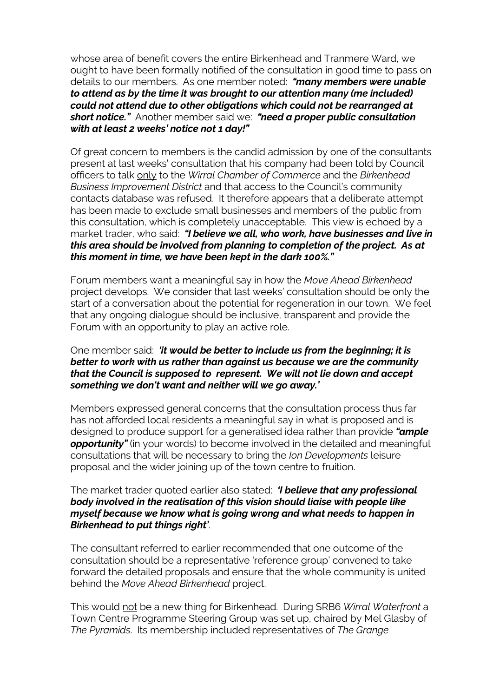whose area of benefit covers the entire Birkenhead and Tranmere Ward, we ought to have been formally notified of the consultation in good time to pass on details to our members. As one member noted: *"many members were unable to attend as by the time it was brought to our attention many (me included) could not attend due to other obligations which could not be rearranged at short notice."* Another member said we: *"need a proper public consultation with at least 2 weeks' notice not 1 day!"*

Of great concern to members is the candid admission by one of the consultants present at last weeks' consultation that his company had been told by Council officers to talk only to the *Wirral Chamber of Commerce* and the *Birkenhead Business Improvement District* and that access to the Council's community contacts database was refused. It therefore appears that a deliberate attempt has been made to exclude small businesses and members of the public from this consultation, which is completely unacceptable. This view is echoed by a market trader, who said: *"I believe we all, who work, have businesses and live in this area should be involved from planning to completion of the project. As at this moment in time, we have been kept in the dark 100%."*

Forum members want a meaningful say in how the *Move Ahead Birkenhead* project develops. We consider that last weeks' consultation should be only the start of a conversation about the potential for regeneration in our town. We feel that any ongoing dialogue should be inclusive, transparent and provide the Forum with an opportunity to play an active role.

## One member said: *'it would be better to include us from the beginning; it is better to work with us rather than against us because we are the community that the Council is supposed to represent. We will not lie down and accept something we don't want and neither will we go away.'*

Members expressed general concerns that the consultation process thus far has not afforded local residents a meaningful say in what is proposed and is designed to produce support for a generalised idea rather than provide *"ample*  **opportunity**" (in your words) to become involved in the detailed and meaningful consultations that will be necessary to bring the *Ion Developments* leisure proposal and the wider joining up of the town centre to fruition.

## The market trader quoted earlier also stated: *'I believe that any professional body involved in the realisation of this vision should liaise with people like myself because we know what is going wrong and what needs to happen in Birkenhead to put things right'*.

The consultant referred to earlier recommended that one outcome of the consultation should be a representative 'reference group' convened to take forward the detailed proposals and ensure that the whole community is united behind the *Move Ahead Birkenhead* project.

This would not be a new thing for Birkenhead. During SRB6 *Wirral Waterfront* a Town Centre Programme Steering Group was set up, chaired by Mel Glasby of *The Pyramids*. Its membership included representatives of *The Grange*